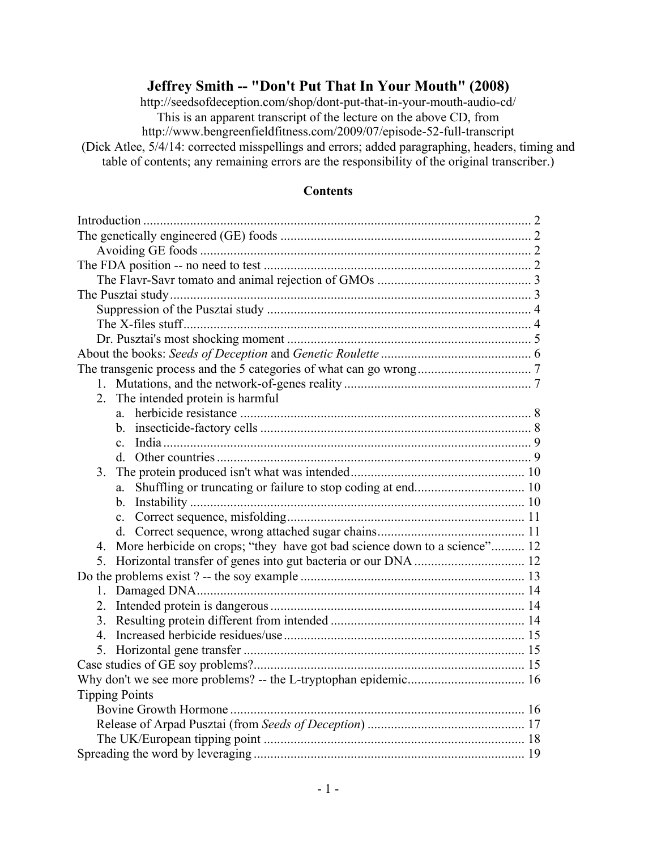# **Jeffrey Smith -- "Don't Put That In Your Mouth" (2008)**

http://seedsofdeception.com/shop/dont-put-that-in-your-mouth-audio-cd/ This is an apparent transcript of the lecture on the above CD, from

http://www.bengreenfieldfitness.com/2009/07/episode-52-full-transcript (Dick Atlee, 5/4/14: corrected misspellings and errors; added paragraphing, headers, timing and

table of contents; any remaining errors are the responsibility of the original transcriber.)

#### **Contents**

| 2.<br>The intended protein is harmful                                           |  |
|---------------------------------------------------------------------------------|--|
| a                                                                               |  |
|                                                                                 |  |
| $\mathbf{c}$                                                                    |  |
|                                                                                 |  |
| 3.                                                                              |  |
| a.                                                                              |  |
|                                                                                 |  |
|                                                                                 |  |
|                                                                                 |  |
| More herbicide on crops; "they have got bad science down to a science" 12<br>4. |  |
| 5.                                                                              |  |
|                                                                                 |  |
|                                                                                 |  |
|                                                                                 |  |
|                                                                                 |  |
|                                                                                 |  |
|                                                                                 |  |
|                                                                                 |  |
|                                                                                 |  |
| <b>Tipping Points</b>                                                           |  |
|                                                                                 |  |
|                                                                                 |  |
|                                                                                 |  |
|                                                                                 |  |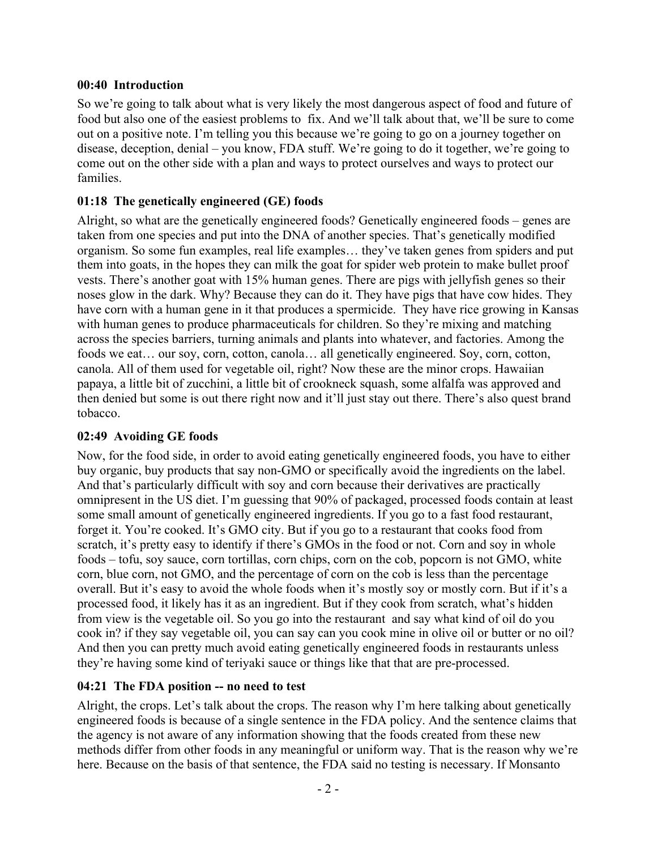### **00:40 Introduction**

So we're going to talk about what is very likely the most dangerous aspect of food and future of food but also one of the easiest problems to fix. And we'll talk about that, we'll be sure to come out on a positive note. I'm telling you this because we're going to go on a journey together on disease, deception, denial – you know, FDA stuff. We're going to do it together, we're going to come out on the other side with a plan and ways to protect ourselves and ways to protect our families.

### **01:18 The genetically engineered (GE) foods**

Alright, so what are the genetically engineered foods? Genetically engineered foods – genes are taken from one species and put into the DNA of another species. That's genetically modified organism. So some fun examples, real life examples… they've taken genes from spiders and put them into goats, in the hopes they can milk the goat for spider web protein to make bullet proof vests. There's another goat with 15% human genes. There are pigs with jellyfish genes so their noses glow in the dark. Why? Because they can do it. They have pigs that have cow hides. They have corn with a human gene in it that produces a spermicide. They have rice growing in Kansas with human genes to produce pharmaceuticals for children. So they're mixing and matching across the species barriers, turning animals and plants into whatever, and factories. Among the foods we eat… our soy, corn, cotton, canola… all genetically engineered. Soy, corn, cotton, canola. All of them used for vegetable oil, right? Now these are the minor crops. Hawaiian papaya, a little bit of zucchini, a little bit of crookneck squash, some alfalfa was approved and then denied but some is out there right now and it'll just stay out there. There's also quest brand tobacco.

### **02:49 Avoiding GE foods**

Now, for the food side, in order to avoid eating genetically engineered foods, you have to either buy organic, buy products that say non-GMO or specifically avoid the ingredients on the label. And that's particularly difficult with soy and corn because their derivatives are practically omnipresent in the US diet. I'm guessing that 90% of packaged, processed foods contain at least some small amount of genetically engineered ingredients. If you go to a fast food restaurant, forget it. You're cooked. It's GMO city. But if you go to a restaurant that cooks food from scratch, it's pretty easy to identify if there's GMOs in the food or not. Corn and soy in whole foods – tofu, soy sauce, corn tortillas, corn chips, corn on the cob, popcorn is not GMO, white corn, blue corn, not GMO, and the percentage of corn on the cob is less than the percentage overall. But it's easy to avoid the whole foods when it's mostly soy or mostly corn. But if it's a processed food, it likely has it as an ingredient. But if they cook from scratch, what's hidden from view is the vegetable oil. So you go into the restaurant and say what kind of oil do you cook in? if they say vegetable oil, you can say can you cook mine in olive oil or butter or no oil? And then you can pretty much avoid eating genetically engineered foods in restaurants unless they're having some kind of teriyaki sauce or things like that that are pre-processed.

### **04:21 The FDA position -- no need to test**

Alright, the crops. Let's talk about the crops. The reason why I'm here talking about genetically engineered foods is because of a single sentence in the FDA policy. And the sentence claims that the agency is not aware of any information showing that the foods created from these new methods differ from other foods in any meaningful or uniform way. That is the reason why we're here. Because on the basis of that sentence, the FDA said no testing is necessary. If Monsanto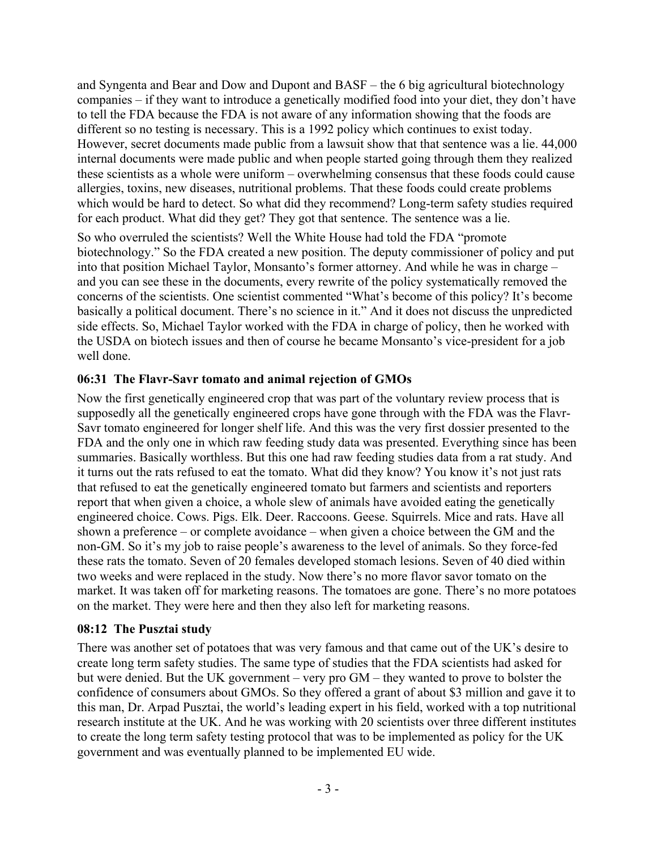and Syngenta and Bear and Dow and Dupont and BASF – the 6 big agricultural biotechnology companies – if they want to introduce a genetically modified food into your diet, they don't have to tell the FDA because the FDA is not aware of any information showing that the foods are different so no testing is necessary. This is a 1992 policy which continues to exist today. However, secret documents made public from a lawsuit show that that sentence was a lie. 44,000 internal documents were made public and when people started going through them they realized these scientists as a whole were uniform – overwhelming consensus that these foods could cause allergies, toxins, new diseases, nutritional problems. That these foods could create problems which would be hard to detect. So what did they recommend? Long-term safety studies required for each product. What did they get? They got that sentence. The sentence was a lie.

So who overruled the scientists? Well the White House had told the FDA "promote biotechnology." So the FDA created a new position. The deputy commissioner of policy and put into that position Michael Taylor, Monsanto's former attorney. And while he was in charge – and you can see these in the documents, every rewrite of the policy systematically removed the concerns of the scientists. One scientist commented "What's become of this policy? It's become basically a political document. There's no science in it." And it does not discuss the unpredicted side effects. So, Michael Taylor worked with the FDA in charge of policy, then he worked with the USDA on biotech issues and then of course he became Monsanto's vice-president for a job well done.

## **06:31 The Flavr-Savr tomato and animal rejection of GMOs**

Now the first genetically engineered crop that was part of the voluntary review process that is supposedly all the genetically engineered crops have gone through with the FDA was the Flavr-Savr tomato engineered for longer shelf life. And this was the very first dossier presented to the FDA and the only one in which raw feeding study data was presented. Everything since has been summaries. Basically worthless. But this one had raw feeding studies data from a rat study. And it turns out the rats refused to eat the tomato. What did they know? You know it's not just rats that refused to eat the genetically engineered tomato but farmers and scientists and reporters report that when given a choice, a whole slew of animals have avoided eating the genetically engineered choice. Cows. Pigs. Elk. Deer. Raccoons. Geese. Squirrels. Mice and rats. Have all shown a preference – or complete avoidance – when given a choice between the GM and the non-GM. So it's my job to raise people's awareness to the level of animals. So they force-fed these rats the tomato. Seven of 20 females developed stomach lesions. Seven of 40 died within two weeks and were replaced in the study. Now there's no more flavor savor tomato on the market. It was taken off for marketing reasons. The tomatoes are gone. There's no more potatoes on the market. They were here and then they also left for marketing reasons.

### **08:12 The Pusztai study**

There was another set of potatoes that was very famous and that came out of the UK's desire to create long term safety studies. The same type of studies that the FDA scientists had asked for but were denied. But the UK government – very pro GM – they wanted to prove to bolster the confidence of consumers about GMOs. So they offered a grant of about \$3 million and gave it to this man, Dr. Arpad Pusztai, the world's leading expert in his field, worked with a top nutritional research institute at the UK. And he was working with 20 scientists over three different institutes to create the long term safety testing protocol that was to be implemented as policy for the UK government and was eventually planned to be implemented EU wide.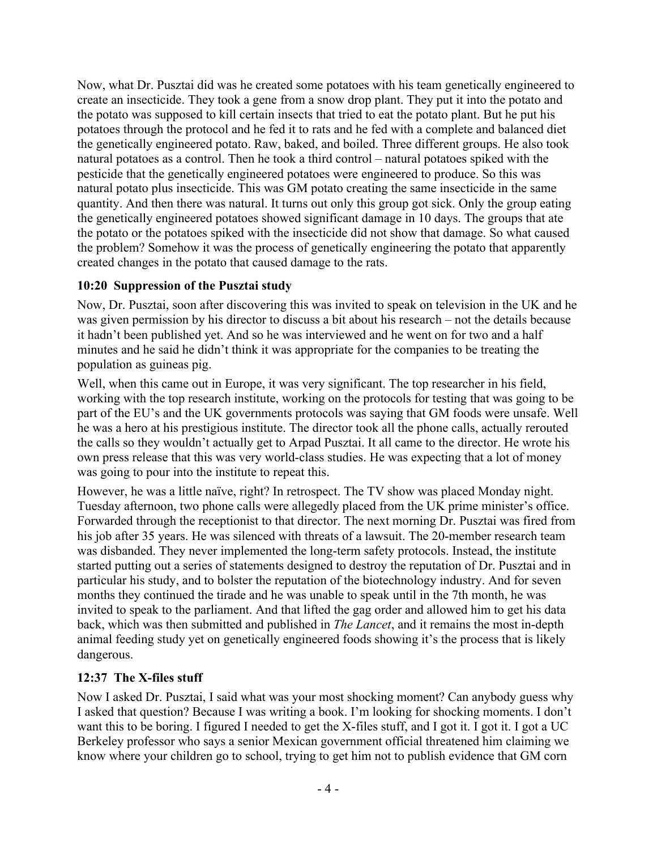Now, what Dr. Pusztai did was he created some potatoes with his team genetically engineered to create an insecticide. They took a gene from a snow drop plant. They put it into the potato and the potato was supposed to kill certain insects that tried to eat the potato plant. But he put his potatoes through the protocol and he fed it to rats and he fed with a complete and balanced diet the genetically engineered potato. Raw, baked, and boiled. Three different groups. He also took natural potatoes as a control. Then he took a third control – natural potatoes spiked with the pesticide that the genetically engineered potatoes were engineered to produce. So this was natural potato plus insecticide. This was GM potato creating the same insecticide in the same quantity. And then there was natural. It turns out only this group got sick. Only the group eating the genetically engineered potatoes showed significant damage in 10 days. The groups that ate the potato or the potatoes spiked with the insecticide did not show that damage. So what caused the problem? Somehow it was the process of genetically engineering the potato that apparently created changes in the potato that caused damage to the rats.

## **10:20 Suppression of the Pusztai study**

Now, Dr. Pusztai, soon after discovering this was invited to speak on television in the UK and he was given permission by his director to discuss a bit about his research – not the details because it hadn't been published yet. And so he was interviewed and he went on for two and a half minutes and he said he didn't think it was appropriate for the companies to be treating the population as guineas pig.

Well, when this came out in Europe, it was very significant. The top researcher in his field, working with the top research institute, working on the protocols for testing that was going to be part of the EU's and the UK governments protocols was saying that GM foods were unsafe. Well he was a hero at his prestigious institute. The director took all the phone calls, actually rerouted the calls so they wouldn't actually get to Arpad Pusztai. It all came to the director. He wrote his own press release that this was very world-class studies. He was expecting that a lot of money was going to pour into the institute to repeat this.

However, he was a little naïve, right? In retrospect. The TV show was placed Monday night. Tuesday afternoon, two phone calls were allegedly placed from the UK prime minister's office. Forwarded through the receptionist to that director. The next morning Dr. Pusztai was fired from his job after 35 years. He was silenced with threats of a lawsuit. The 20-member research team was disbanded. They never implemented the long-term safety protocols. Instead, the institute started putting out a series of statements designed to destroy the reputation of Dr. Pusztai and in particular his study, and to bolster the reputation of the biotechnology industry. And for seven months they continued the tirade and he was unable to speak until in the 7th month, he was invited to speak to the parliament. And that lifted the gag order and allowed him to get his data back, which was then submitted and published in *The Lancet*, and it remains the most in-depth animal feeding study yet on genetically engineered foods showing it's the process that is likely dangerous.

### **12:37 The X-files stuff**

Now I asked Dr. Pusztai, I said what was your most shocking moment? Can anybody guess why I asked that question? Because I was writing a book. I'm looking for shocking moments. I don't want this to be boring. I figured I needed to get the X-files stuff, and I got it. I got it. I got a UC Berkeley professor who says a senior Mexican government official threatened him claiming we know where your children go to school, trying to get him not to publish evidence that GM corn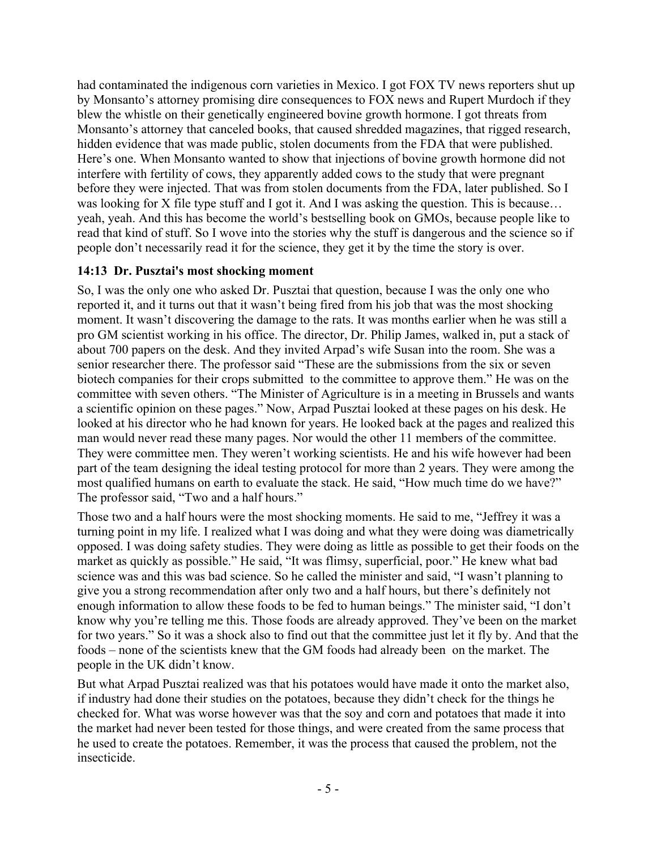had contaminated the indigenous corn varieties in Mexico. I got FOX TV news reporters shut up by Monsanto's attorney promising dire consequences to FOX news and Rupert Murdoch if they blew the whistle on their genetically engineered bovine growth hormone. I got threats from Monsanto's attorney that canceled books, that caused shredded magazines, that rigged research, hidden evidence that was made public, stolen documents from the FDA that were published. Here's one. When Monsanto wanted to show that injections of bovine growth hormone did not interfere with fertility of cows, they apparently added cows to the study that were pregnant before they were injected. That was from stolen documents from the FDA, later published. So I was looking for X file type stuff and I got it. And I was asking the question. This is because… yeah, yeah. And this has become the world's bestselling book on GMOs, because people like to read that kind of stuff. So I wove into the stories why the stuff is dangerous and the science so if people don't necessarily read it for the science, they get it by the time the story is over.

### **14:13 Dr. Pusztai's most shocking moment**

So, I was the only one who asked Dr. Pusztai that question, because I was the only one who reported it, and it turns out that it wasn't being fired from his job that was the most shocking moment. It wasn't discovering the damage to the rats. It was months earlier when he was still a pro GM scientist working in his office. The director, Dr. Philip James, walked in, put a stack of about 700 papers on the desk. And they invited Arpad's wife Susan into the room. She was a senior researcher there. The professor said "These are the submissions from the six or seven biotech companies for their crops submitted to the committee to approve them." He was on the committee with seven others. "The Minister of Agriculture is in a meeting in Brussels and wants a scientific opinion on these pages." Now, Arpad Pusztai looked at these pages on his desk. He looked at his director who he had known for years. He looked back at the pages and realized this man would never read these many pages. Nor would the other 11 members of the committee. They were committee men. They weren't working scientists. He and his wife however had been part of the team designing the ideal testing protocol for more than 2 years. They were among the most qualified humans on earth to evaluate the stack. He said, "How much time do we have?" The professor said, "Two and a half hours."

Those two and a half hours were the most shocking moments. He said to me, "Jeffrey it was a turning point in my life. I realized what I was doing and what they were doing was diametrically opposed. I was doing safety studies. They were doing as little as possible to get their foods on the market as quickly as possible." He said, "It was flimsy, superficial, poor." He knew what bad science was and this was bad science. So he called the minister and said, "I wasn't planning to give you a strong recommendation after only two and a half hours, but there's definitely not enough information to allow these foods to be fed to human beings." The minister said, "I don't know why you're telling me this. Those foods are already approved. They've been on the market for two years." So it was a shock also to find out that the committee just let it fly by. And that the foods – none of the scientists knew that the GM foods had already been on the market. The people in the UK didn't know.

But what Arpad Pusztai realized was that his potatoes would have made it onto the market also, if industry had done their studies on the potatoes, because they didn't check for the things he checked for. What was worse however was that the soy and corn and potatoes that made it into the market had never been tested for those things, and were created from the same process that he used to create the potatoes. Remember, it was the process that caused the problem, not the insecticide.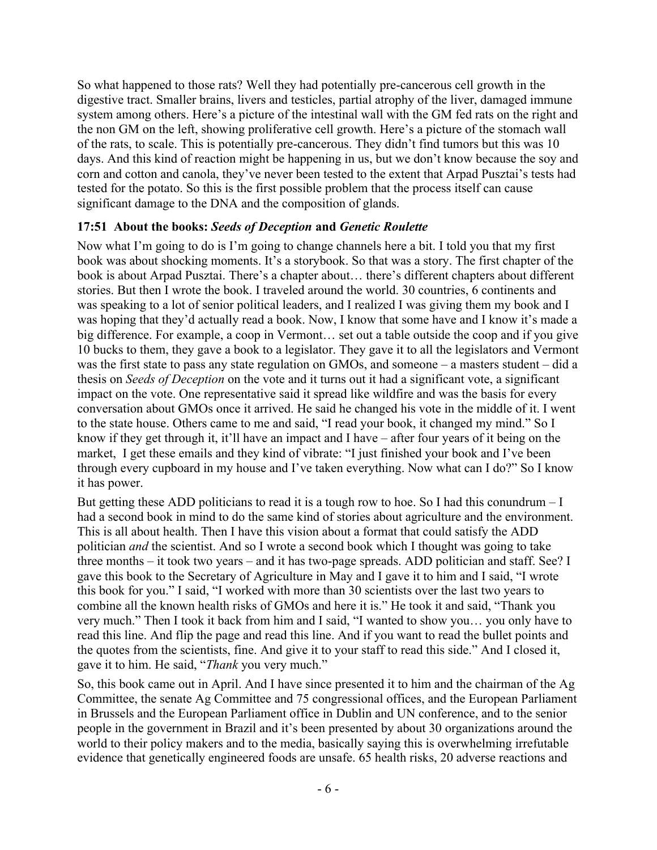So what happened to those rats? Well they had potentially pre-cancerous cell growth in the digestive tract. Smaller brains, livers and testicles, partial atrophy of the liver, damaged immune system among others. Here's a picture of the intestinal wall with the GM fed rats on the right and the non GM on the left, showing proliferative cell growth. Here's a picture of the stomach wall of the rats, to scale. This is potentially pre-cancerous. They didn't find tumors but this was 10 days. And this kind of reaction might be happening in us, but we don't know because the soy and corn and cotton and canola, they've never been tested to the extent that Arpad Pusztai's tests had tested for the potato. So this is the first possible problem that the process itself can cause significant damage to the DNA and the composition of glands.

## **17:51 About the books:** *Seeds of Deception* **and** *Genetic Roulette*

Now what I'm going to do is I'm going to change channels here a bit. I told you that my first book was about shocking moments. It's a storybook. So that was a story. The first chapter of the book is about Arpad Pusztai. There's a chapter about… there's different chapters about different stories. But then I wrote the book. I traveled around the world. 30 countries, 6 continents and was speaking to a lot of senior political leaders, and I realized I was giving them my book and I was hoping that they'd actually read a book. Now, I know that some have and I know it's made a big difference. For example, a coop in Vermont… set out a table outside the coop and if you give 10 bucks to them, they gave a book to a legislator. They gave it to all the legislators and Vermont was the first state to pass any state regulation on GMOs, and someone – a masters student – did a thesis on *Seeds of Deception* on the vote and it turns out it had a significant vote, a significant impact on the vote. One representative said it spread like wildfire and was the basis for every conversation about GMOs once it arrived. He said he changed his vote in the middle of it. I went to the state house. Others came to me and said, "I read your book, it changed my mind." So I know if they get through it, it'll have an impact and I have – after four years of it being on the market, I get these emails and they kind of vibrate: "I just finished your book and I've been through every cupboard in my house and I've taken everything. Now what can I do?" So I know it has power.

But getting these ADD politicians to read it is a tough row to hoe. So I had this conundrum  $-I$ had a second book in mind to do the same kind of stories about agriculture and the environment. This is all about health. Then I have this vision about a format that could satisfy the ADD politician *and* the scientist. And so I wrote a second book which I thought was going to take three months – it took two years – and it has two-page spreads. ADD politician and staff. See? I gave this book to the Secretary of Agriculture in May and I gave it to him and I said, "I wrote this book for you." I said, "I worked with more than 30 scientists over the last two years to combine all the known health risks of GMOs and here it is." He took it and said, "Thank you very much." Then I took it back from him and I said, "I wanted to show you… you only have to read this line. And flip the page and read this line. And if you want to read the bullet points and the quotes from the scientists, fine. And give it to your staff to read this side." And I closed it, gave it to him. He said, "*Thank* you very much."

So, this book came out in April. And I have since presented it to him and the chairman of the Ag Committee, the senate Ag Committee and 75 congressional offices, and the European Parliament in Brussels and the European Parliament office in Dublin and UN conference, and to the senior people in the government in Brazil and it's been presented by about 30 organizations around the world to their policy makers and to the media, basically saying this is overwhelming irrefutable evidence that genetically engineered foods are unsafe. 65 health risks, 20 adverse reactions and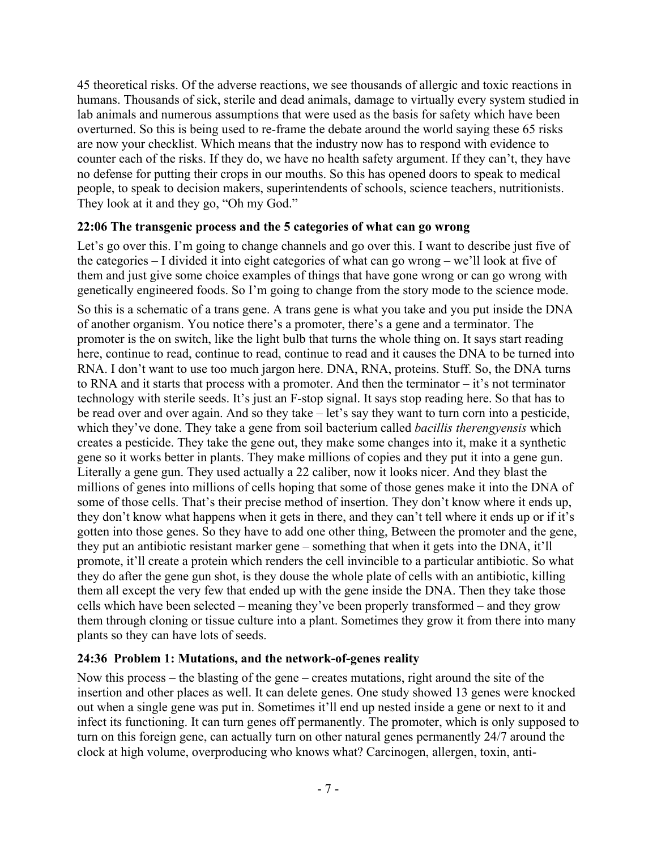45 theoretical risks. Of the adverse reactions, we see thousands of allergic and toxic reactions in humans. Thousands of sick, sterile and dead animals, damage to virtually every system studied in lab animals and numerous assumptions that were used as the basis for safety which have been overturned. So this is being used to re-frame the debate around the world saying these 65 risks are now your checklist. Which means that the industry now has to respond with evidence to counter each of the risks. If they do, we have no health safety argument. If they can't, they have no defense for putting their crops in our mouths. So this has opened doors to speak to medical people, to speak to decision makers, superintendents of schools, science teachers, nutritionists. They look at it and they go, "Oh my God."

## **22:06 The transgenic process and the 5 categories of what can go wrong**

Let's go over this. I'm going to change channels and go over this. I want to describe just five of the categories – I divided it into eight categories of what can go wrong – we'll look at five of them and just give some choice examples of things that have gone wrong or can go wrong with genetically engineered foods. So I'm going to change from the story mode to the science mode.

So this is a schematic of a trans gene. A trans gene is what you take and you put inside the DNA of another organism. You notice there's a promoter, there's a gene and a terminator. The promoter is the on switch, like the light bulb that turns the whole thing on. It says start reading here, continue to read, continue to read, continue to read and it causes the DNA to be turned into RNA. I don't want to use too much jargon here. DNA, RNA, proteins. Stuff. So, the DNA turns to RNA and it starts that process with a promoter. And then the terminator – it's not terminator technology with sterile seeds. It's just an F-stop signal. It says stop reading here. So that has to be read over and over again. And so they take – let's say they want to turn corn into a pesticide, which they've done. They take a gene from soil bacterium called *bacillis therengyensis* which creates a pesticide. They take the gene out, they make some changes into it, make it a synthetic gene so it works better in plants. They make millions of copies and they put it into a gene gun. Literally a gene gun. They used actually a 22 caliber, now it looks nicer. And they blast the millions of genes into millions of cells hoping that some of those genes make it into the DNA of some of those cells. That's their precise method of insertion. They don't know where it ends up, they don't know what happens when it gets in there, and they can't tell where it ends up or if it's gotten into those genes. So they have to add one other thing, Between the promoter and the gene, they put an antibiotic resistant marker gene – something that when it gets into the DNA, it'll promote, it'll create a protein which renders the cell invincible to a particular antibiotic. So what they do after the gene gun shot, is they douse the whole plate of cells with an antibiotic, killing them all except the very few that ended up with the gene inside the DNA. Then they take those cells which have been selected – meaning they've been properly transformed – and they grow them through cloning or tissue culture into a plant. Sometimes they grow it from there into many plants so they can have lots of seeds.

## **24:36 Problem 1: Mutations, and the network-of-genes reality**

Now this process – the blasting of the gene – creates mutations, right around the site of the insertion and other places as well. It can delete genes. One study showed 13 genes were knocked out when a single gene was put in. Sometimes it'll end up nested inside a gene or next to it and infect its functioning. It can turn genes off permanently. The promoter, which is only supposed to turn on this foreign gene, can actually turn on other natural genes permanently 24/7 around the clock at high volume, overproducing who knows what? Carcinogen, allergen, toxin, anti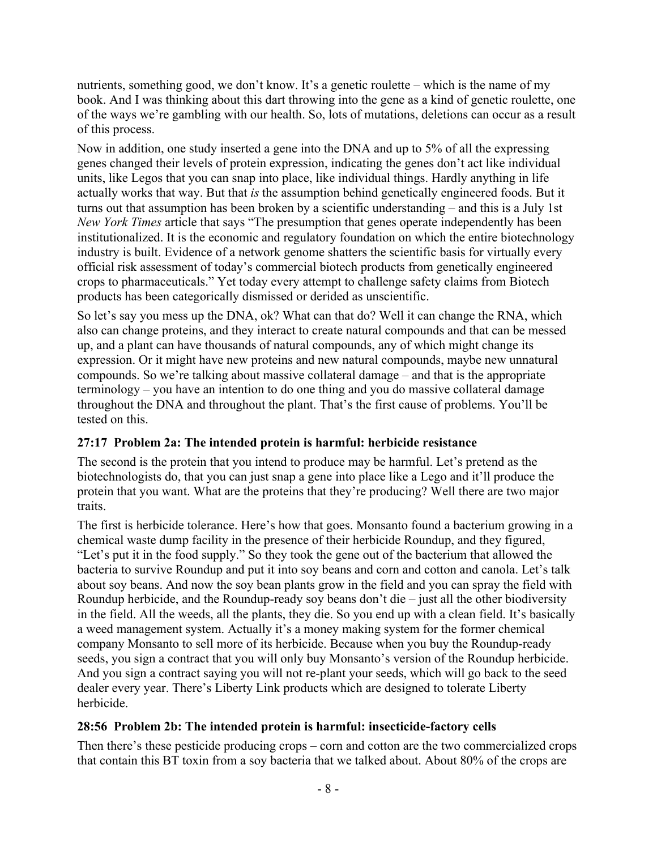nutrients, something good, we don't know. It's a genetic roulette – which is the name of my book. And I was thinking about this dart throwing into the gene as a kind of genetic roulette, one of the ways we're gambling with our health. So, lots of mutations, deletions can occur as a result of this process.

Now in addition, one study inserted a gene into the DNA and up to 5% of all the expressing genes changed their levels of protein expression, indicating the genes don't act like individual units, like Legos that you can snap into place, like individual things. Hardly anything in life actually works that way. But that *is* the assumption behind genetically engineered foods. But it turns out that assumption has been broken by a scientific understanding – and this is a July 1st *New York Times* article that says "The presumption that genes operate independently has been institutionalized. It is the economic and regulatory foundation on which the entire biotechnology industry is built. Evidence of a network genome shatters the scientific basis for virtually every official risk assessment of today's commercial biotech products from genetically engineered crops to pharmaceuticals." Yet today every attempt to challenge safety claims from Biotech products has been categorically dismissed or derided as unscientific.

So let's say you mess up the DNA, ok? What can that do? Well it can change the RNA, which also can change proteins, and they interact to create natural compounds and that can be messed up, and a plant can have thousands of natural compounds, any of which might change its expression. Or it might have new proteins and new natural compounds, maybe new unnatural compounds. So we're talking about massive collateral damage – and that is the appropriate terminology – you have an intention to do one thing and you do massive collateral damage throughout the DNA and throughout the plant. That's the first cause of problems. You'll be tested on this.

## **27:17 Problem 2a: The intended protein is harmful: herbicide resistance**

The second is the protein that you intend to produce may be harmful. Let's pretend as the biotechnologists do, that you can just snap a gene into place like a Lego and it'll produce the protein that you want. What are the proteins that they're producing? Well there are two major traits.

The first is herbicide tolerance. Here's how that goes. Monsanto found a bacterium growing in a chemical waste dump facility in the presence of their herbicide Roundup, and they figured, "Let's put it in the food supply." So they took the gene out of the bacterium that allowed the bacteria to survive Roundup and put it into soy beans and corn and cotton and canola. Let's talk about soy beans. And now the soy bean plants grow in the field and you can spray the field with Roundup herbicide, and the Roundup-ready soy beans don't die – just all the other biodiversity in the field. All the weeds, all the plants, they die. So you end up with a clean field. It's basically a weed management system. Actually it's a money making system for the former chemical company Monsanto to sell more of its herbicide. Because when you buy the Roundup-ready seeds, you sign a contract that you will only buy Monsanto's version of the Roundup herbicide. And you sign a contract saying you will not re-plant your seeds, which will go back to the seed dealer every year. There's Liberty Link products which are designed to tolerate Liberty herbicide.

### **28:56 Problem 2b: The intended protein is harmful: insecticide-factory cells**

Then there's these pesticide producing crops – corn and cotton are the two commercialized crops that contain this BT toxin from a soy bacteria that we talked about. About 80% of the crops are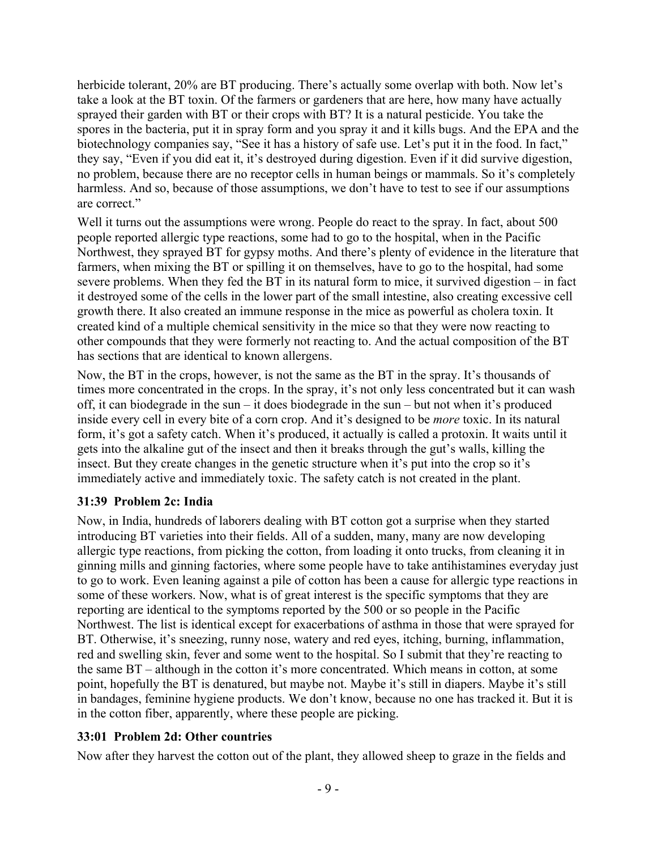herbicide tolerant, 20% are BT producing. There's actually some overlap with both. Now let's take a look at the BT toxin. Of the farmers or gardeners that are here, how many have actually sprayed their garden with BT or their crops with BT? It is a natural pesticide. You take the spores in the bacteria, put it in spray form and you spray it and it kills bugs. And the EPA and the biotechnology companies say, "See it has a history of safe use. Let's put it in the food. In fact," they say, "Even if you did eat it, it's destroyed during digestion. Even if it did survive digestion, no problem, because there are no receptor cells in human beings or mammals. So it's completely harmless. And so, because of those assumptions, we don't have to test to see if our assumptions are correct."

Well it turns out the assumptions were wrong. People do react to the spray. In fact, about 500 people reported allergic type reactions, some had to go to the hospital, when in the Pacific Northwest, they sprayed BT for gypsy moths. And there's plenty of evidence in the literature that farmers, when mixing the BT or spilling it on themselves, have to go to the hospital, had some severe problems. When they fed the BT in its natural form to mice, it survived digestion – in fact it destroyed some of the cells in the lower part of the small intestine, also creating excessive cell growth there. It also created an immune response in the mice as powerful as cholera toxin. It created kind of a multiple chemical sensitivity in the mice so that they were now reacting to other compounds that they were formerly not reacting to. And the actual composition of the BT has sections that are identical to known allergens.

Now, the BT in the crops, however, is not the same as the BT in the spray. It's thousands of times more concentrated in the crops. In the spray, it's not only less concentrated but it can wash off, it can biodegrade in the sun – it does biodegrade in the sun – but not when it's produced inside every cell in every bite of a corn crop. And it's designed to be *more* toxic. In its natural form, it's got a safety catch. When it's produced, it actually is called a protoxin. It waits until it gets into the alkaline gut of the insect and then it breaks through the gut's walls, killing the insect. But they create changes in the genetic structure when it's put into the crop so it's immediately active and immediately toxic. The safety catch is not created in the plant.

## **31:39 Problem 2c: India**

Now, in India, hundreds of laborers dealing with BT cotton got a surprise when they started introducing BT varieties into their fields. All of a sudden, many, many are now developing allergic type reactions, from picking the cotton, from loading it onto trucks, from cleaning it in ginning mills and ginning factories, where some people have to take antihistamines everyday just to go to work. Even leaning against a pile of cotton has been a cause for allergic type reactions in some of these workers. Now, what is of great interest is the specific symptoms that they are reporting are identical to the symptoms reported by the 500 or so people in the Pacific Northwest. The list is identical except for exacerbations of asthma in those that were sprayed for BT. Otherwise, it's sneezing, runny nose, watery and red eyes, itching, burning, inflammation, red and swelling skin, fever and some went to the hospital. So I submit that they're reacting to the same BT – although in the cotton it's more concentrated. Which means in cotton, at some point, hopefully the BT is denatured, but maybe not. Maybe it's still in diapers. Maybe it's still in bandages, feminine hygiene products. We don't know, because no one has tracked it. But it is in the cotton fiber, apparently, where these people are picking.

### **33:01 Problem 2d: Other countries**

Now after they harvest the cotton out of the plant, they allowed sheep to graze in the fields and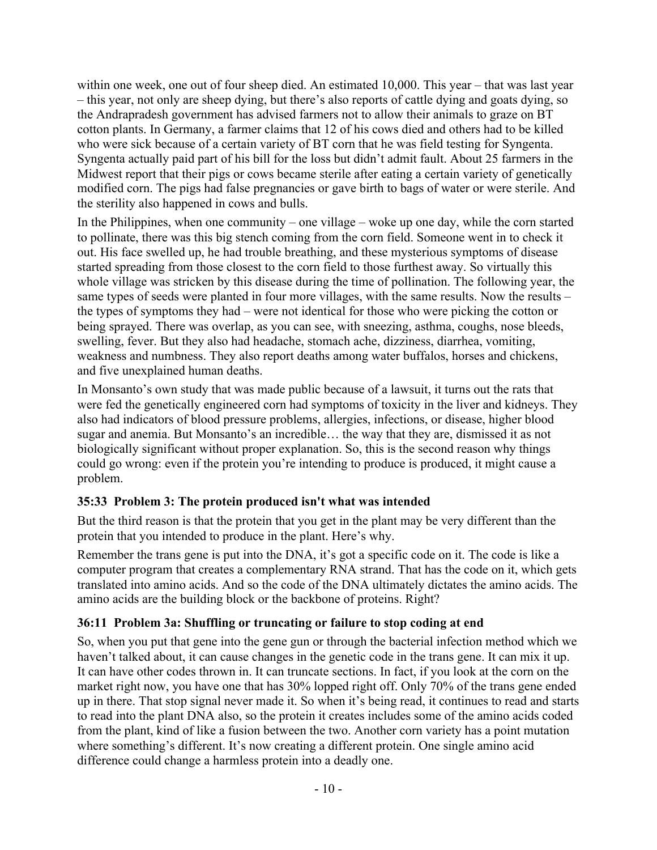within one week, one out of four sheep died. An estimated 10,000. This year – that was last year – this year, not only are sheep dying, but there's also reports of cattle dying and goats dying, so the Andrapradesh government has advised farmers not to allow their animals to graze on BT cotton plants. In Germany, a farmer claims that 12 of his cows died and others had to be killed who were sick because of a certain variety of BT corn that he was field testing for Syngenta. Syngenta actually paid part of his bill for the loss but didn't admit fault. About 25 farmers in the Midwest report that their pigs or cows became sterile after eating a certain variety of genetically modified corn. The pigs had false pregnancies or gave birth to bags of water or were sterile. And the sterility also happened in cows and bulls.

In the Philippines, when one community – one village – woke up one day, while the corn started to pollinate, there was this big stench coming from the corn field. Someone went in to check it out. His face swelled up, he had trouble breathing, and these mysterious symptoms of disease started spreading from those closest to the corn field to those furthest away. So virtually this whole village was stricken by this disease during the time of pollination. The following year, the same types of seeds were planted in four more villages, with the same results. Now the results – the types of symptoms they had – were not identical for those who were picking the cotton or being sprayed. There was overlap, as you can see, with sneezing, asthma, coughs, nose bleeds, swelling, fever. But they also had headache, stomach ache, dizziness, diarrhea, vomiting, weakness and numbness. They also report deaths among water buffalos, horses and chickens, and five unexplained human deaths.

In Monsanto's own study that was made public because of a lawsuit, it turns out the rats that were fed the genetically engineered corn had symptoms of toxicity in the liver and kidneys. They also had indicators of blood pressure problems, allergies, infections, or disease, higher blood sugar and anemia. But Monsanto's an incredible… the way that they are, dismissed it as not biologically significant without proper explanation. So, this is the second reason why things could go wrong: even if the protein you're intending to produce is produced, it might cause a problem.

## **35:33 Problem 3: The protein produced isn't what was intended**

But the third reason is that the protein that you get in the plant may be very different than the protein that you intended to produce in the plant. Here's why.

Remember the trans gene is put into the DNA, it's got a specific code on it. The code is like a computer program that creates a complementary RNA strand. That has the code on it, which gets translated into amino acids. And so the code of the DNA ultimately dictates the amino acids. The amino acids are the building block or the backbone of proteins. Right?

### **36:11 Problem 3a: Shuffling or truncating or failure to stop coding at end**

So, when you put that gene into the gene gun or through the bacterial infection method which we haven't talked about, it can cause changes in the genetic code in the trans gene. It can mix it up. It can have other codes thrown in. It can truncate sections. In fact, if you look at the corn on the market right now, you have one that has 30% lopped right off. Only 70% of the trans gene ended up in there. That stop signal never made it. So when it's being read, it continues to read and starts to read into the plant DNA also, so the protein it creates includes some of the amino acids coded from the plant, kind of like a fusion between the two. Another corn variety has a point mutation where something's different. It's now creating a different protein. One single amino acid difference could change a harmless protein into a deadly one.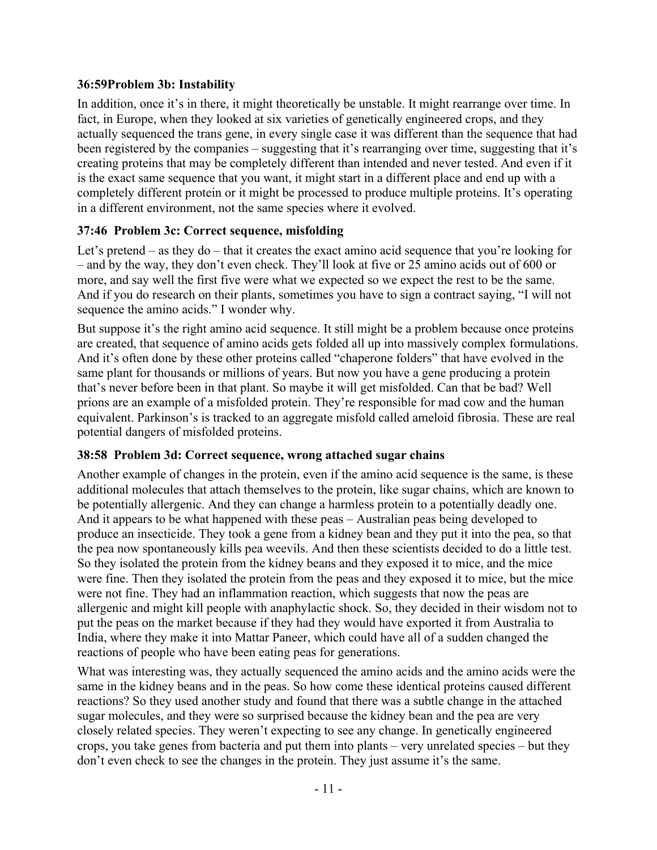### **36:59Problem 3b: Instability**

In addition, once it's in there, it might theoretically be unstable. It might rearrange over time. In fact, in Europe, when they looked at six varieties of genetically engineered crops, and they actually sequenced the trans gene, in every single case it was different than the sequence that had been registered by the companies – suggesting that it's rearranging over time, suggesting that it's creating proteins that may be completely different than intended and never tested. And even if it is the exact same sequence that you want, it might start in a different place and end up with a completely different protein or it might be processed to produce multiple proteins. It's operating in a different environment, not the same species where it evolved.

## **37:46 Problem 3c: Correct sequence, misfolding**

Let's pretend – as they do – that it creates the exact amino acid sequence that you're looking for – and by the way, they don't even check. They'll look at five or 25 amino acids out of 600 or more, and say well the first five were what we expected so we expect the rest to be the same. And if you do research on their plants, sometimes you have to sign a contract saying, "I will not sequence the amino acids." I wonder why.

But suppose it's the right amino acid sequence. It still might be a problem because once proteins are created, that sequence of amino acids gets folded all up into massively complex formulations. And it's often done by these other proteins called "chaperone folders" that have evolved in the same plant for thousands or millions of years. But now you have a gene producing a protein that's never before been in that plant. So maybe it will get misfolded. Can that be bad? Well prions are an example of a misfolded protein. They're responsible for mad cow and the human equivalent. Parkinson's is tracked to an aggregate misfold called ameloid fibrosia. These are real potential dangers of misfolded proteins.

### **38:58 Problem 3d: Correct sequence, wrong attached sugar chains**

Another example of changes in the protein, even if the amino acid sequence is the same, is these additional molecules that attach themselves to the protein, like sugar chains, which are known to be potentially allergenic. And they can change a harmless protein to a potentially deadly one. And it appears to be what happened with these peas – Australian peas being developed to produce an insecticide. They took a gene from a kidney bean and they put it into the pea, so that the pea now spontaneously kills pea weevils. And then these scientists decided to do a little test. So they isolated the protein from the kidney beans and they exposed it to mice, and the mice were fine. Then they isolated the protein from the peas and they exposed it to mice, but the mice were not fine. They had an inflammation reaction, which suggests that now the peas are allergenic and might kill people with anaphylactic shock. So, they decided in their wisdom not to put the peas on the market because if they had they would have exported it from Australia to India, where they make it into Mattar Paneer, which could have all of a sudden changed the reactions of people who have been eating peas for generations.

What was interesting was, they actually sequenced the amino acids and the amino acids were the same in the kidney beans and in the peas. So how come these identical proteins caused different reactions? So they used another study and found that there was a subtle change in the attached sugar molecules, and they were so surprised because the kidney bean and the pea are very closely related species. They weren't expecting to see any change. In genetically engineered crops, you take genes from bacteria and put them into plants – very unrelated species – but they don't even check to see the changes in the protein. They just assume it's the same.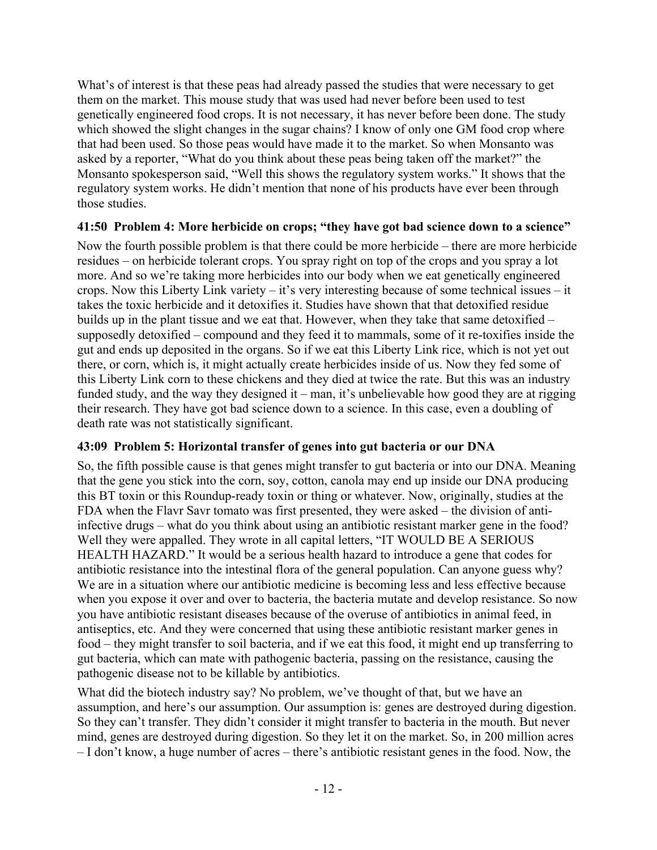What's of interest is that these peas had already passed the studies that were necessary to get them on the market. This mouse study that was used had never before been used to test genetically engineered food crops. It is not necessary, it has never before been done. The study which showed the slight changes in the sugar chains? I know of only one GM food crop where that had been used. So those peas would have made it to the market. So when Monsanto was asked by a reporter, "What do you think about these peas being taken off the market?" the Monsanto spokesperson said, "Well this shows the regulatory system works." It shows that the regulatory system works. He didn't mention that none of his products have ever been through those studies.

## **41:50 Problem 4: More herbicide on crops; "they have got bad science down to a science"**

Now the fourth possible problem is that there could be more herbicide – there are more herbicide residues – on herbicide tolerant crops. You spray right on top of the crops and you spray a lot more. And so we're taking more herbicides into our body when we eat genetically engineered crops. Now this Liberty Link variety – it's very interesting because of some technical issues – it takes the toxic herbicide and it detoxifies it. Studies have shown that that detoxified residue builds up in the plant tissue and we eat that. However, when they take that same detoxified – supposedly detoxified – compound and they feed it to mammals, some of it re-toxifies inside the gut and ends up deposited in the organs. So if we eat this Liberty Link rice, which is not yet out there, or corn, which is, it might actually create herbicides inside of us. Now they fed some of this Liberty Link corn to these chickens and they died at twice the rate. But this was an industry funded study, and the way they designed it – man, it's unbelievable how good they are at rigging their research. They have got bad science down to a science. In this case, even a doubling of death rate was not statistically significant.

## **43:09 Problem 5: Horizontal transfer of genes into gut bacteria or our DNA**

So, the fifth possible cause is that genes might transfer to gut bacteria or into our DNA. Meaning that the gene you stick into the corn, soy, cotton, canola may end up inside our DNA producing this BT toxin or this Roundup-ready toxin or thing or whatever. Now, originally, studies at the FDA when the Flavr Savr tomato was first presented, they were asked – the division of antiinfective drugs – what do you think about using an antibiotic resistant marker gene in the food? Well they were appalled. They wrote in all capital letters, "IT WOULD BE A SERIOUS HEALTH HAZARD." It would be a serious health hazard to introduce a gene that codes for antibiotic resistance into the intestinal flora of the general population. Can anyone guess why? We are in a situation where our antibiotic medicine is becoming less and less effective because when you expose it over and over to bacteria, the bacteria mutate and develop resistance. So now you have antibiotic resistant diseases because of the overuse of antibiotics in animal feed, in antiseptics, etc. And they were concerned that using these antibiotic resistant marker genes in food – they might transfer to soil bacteria, and if we eat this food, it might end up transferring to gut bacteria, which can mate with pathogenic bacteria, passing on the resistance, causing the pathogenic disease not to be killable by antibiotics.

What did the biotech industry say? No problem, we've thought of that, but we have an assumption, and here's our assumption. Our assumption is: genes are destroyed during digestion. So they can't transfer. They didn't consider it might transfer to bacteria in the mouth. But never mind, genes are destroyed during digestion. So they let it on the market. So, in 200 million acres – I don't know, a huge number of acres – there's antibiotic resistant genes in the food. Now, the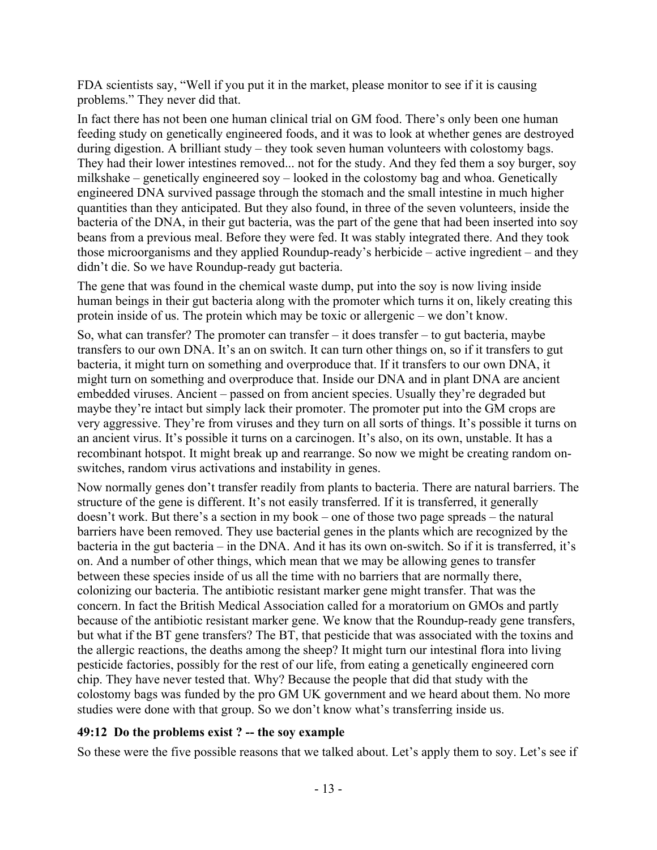FDA scientists say, "Well if you put it in the market, please monitor to see if it is causing problems." They never did that.

In fact there has not been one human clinical trial on GM food. There's only been one human feeding study on genetically engineered foods, and it was to look at whether genes are destroyed during digestion. A brilliant study – they took seven human volunteers with colostomy bags. They had their lower intestines removed... not for the study. And they fed them a soy burger, soy milkshake – genetically engineered soy – looked in the colostomy bag and whoa. Genetically engineered DNA survived passage through the stomach and the small intestine in much higher quantities than they anticipated. But they also found, in three of the seven volunteers, inside the bacteria of the DNA, in their gut bacteria, was the part of the gene that had been inserted into soy beans from a previous meal. Before they were fed. It was stably integrated there. And they took those microorganisms and they applied Roundup-ready's herbicide – active ingredient – and they didn't die. So we have Roundup-ready gut bacteria.

The gene that was found in the chemical waste dump, put into the soy is now living inside human beings in their gut bacteria along with the promoter which turns it on, likely creating this protein inside of us. The protein which may be toxic or allergenic – we don't know.

So, what can transfer? The promoter can transfer – it does transfer – to gut bacteria, maybe transfers to our own DNA. It's an on switch. It can turn other things on, so if it transfers to gut bacteria, it might turn on something and overproduce that. If it transfers to our own DNA, it might turn on something and overproduce that. Inside our DNA and in plant DNA are ancient embedded viruses. Ancient – passed on from ancient species. Usually they're degraded but maybe they're intact but simply lack their promoter. The promoter put into the GM crops are very aggressive. They're from viruses and they turn on all sorts of things. It's possible it turns on an ancient virus. It's possible it turns on a carcinogen. It's also, on its own, unstable. It has a recombinant hotspot. It might break up and rearrange. So now we might be creating random onswitches, random virus activations and instability in genes.

Now normally genes don't transfer readily from plants to bacteria. There are natural barriers. The structure of the gene is different. It's not easily transferred. If it is transferred, it generally doesn't work. But there's a section in my book – one of those two page spreads – the natural barriers have been removed. They use bacterial genes in the plants which are recognized by the bacteria in the gut bacteria – in the DNA. And it has its own on-switch. So if it is transferred, it's on. And a number of other things, which mean that we may be allowing genes to transfer between these species inside of us all the time with no barriers that are normally there, colonizing our bacteria. The antibiotic resistant marker gene might transfer. That was the concern. In fact the British Medical Association called for a moratorium on GMOs and partly because of the antibiotic resistant marker gene. We know that the Roundup-ready gene transfers, but what if the BT gene transfers? The BT, that pesticide that was associated with the toxins and the allergic reactions, the deaths among the sheep? It might turn our intestinal flora into living pesticide factories, possibly for the rest of our life, from eating a genetically engineered corn chip. They have never tested that. Why? Because the people that did that study with the colostomy bags was funded by the pro GM UK government and we heard about them. No more studies were done with that group. So we don't know what's transferring inside us.

### **49:12 Do the problems exist ? -- the soy example**

So these were the five possible reasons that we talked about. Let's apply them to soy. Let's see if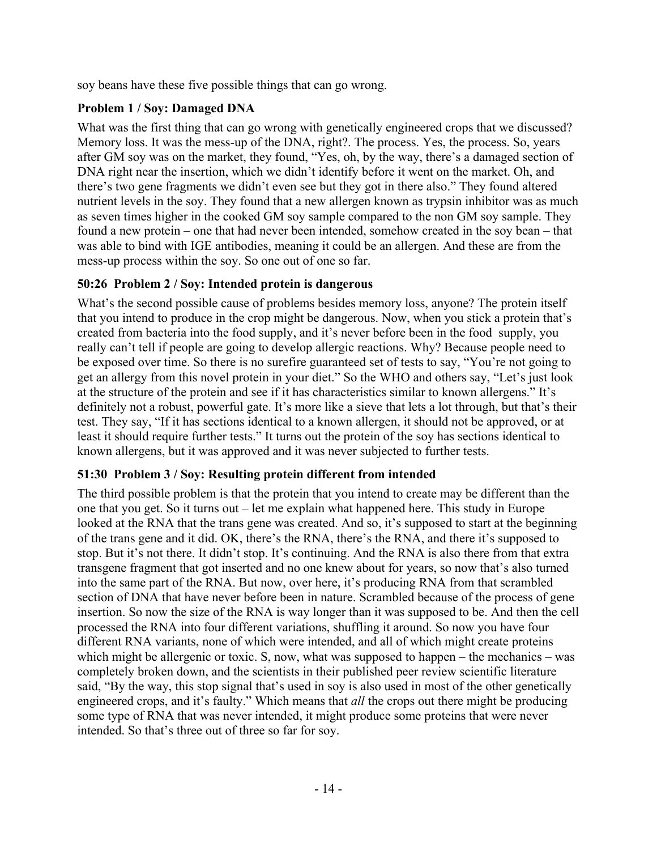soy beans have these five possible things that can go wrong.

## **Problem 1 / Soy: Damaged DNA**

What was the first thing that can go wrong with genetically engineered crops that we discussed? Memory loss. It was the mess-up of the DNA, right?. The process. Yes, the process. So, years after GM soy was on the market, they found, "Yes, oh, by the way, there's a damaged section of DNA right near the insertion, which we didn't identify before it went on the market. Oh, and there's two gene fragments we didn't even see but they got in there also." They found altered nutrient levels in the soy. They found that a new allergen known as trypsin inhibitor was as much as seven times higher in the cooked GM soy sample compared to the non GM soy sample. They found a new protein – one that had never been intended, somehow created in the soy bean – that was able to bind with IGE antibodies, meaning it could be an allergen. And these are from the mess-up process within the soy. So one out of one so far.

## **50:26 Problem 2 / Soy: Intended protein is dangerous**

What's the second possible cause of problems besides memory loss, anyone? The protein itself that you intend to produce in the crop might be dangerous. Now, when you stick a protein that's created from bacteria into the food supply, and it's never before been in the food supply, you really can't tell if people are going to develop allergic reactions. Why? Because people need to be exposed over time. So there is no surefire guaranteed set of tests to say, "You're not going to get an allergy from this novel protein in your diet." So the WHO and others say, "Let's just look at the structure of the protein and see if it has characteristics similar to known allergens." It's definitely not a robust, powerful gate. It's more like a sieve that lets a lot through, but that's their test. They say, "If it has sections identical to a known allergen, it should not be approved, or at least it should require further tests." It turns out the protein of the soy has sections identical to known allergens, but it was approved and it was never subjected to further tests.

### **51:30 Problem 3 / Soy: Resulting protein different from intended**

The third possible problem is that the protein that you intend to create may be different than the one that you get. So it turns out – let me explain what happened here. This study in Europe looked at the RNA that the trans gene was created. And so, it's supposed to start at the beginning of the trans gene and it did. OK, there's the RNA, there's the RNA, and there it's supposed to stop. But it's not there. It didn't stop. It's continuing. And the RNA is also there from that extra transgene fragment that got inserted and no one knew about for years, so now that's also turned into the same part of the RNA. But now, over here, it's producing RNA from that scrambled section of DNA that have never before been in nature. Scrambled because of the process of gene insertion. So now the size of the RNA is way longer than it was supposed to be. And then the cell processed the RNA into four different variations, shuffling it around. So now you have four different RNA variants, none of which were intended, and all of which might create proteins which might be allergenic or toxic. S, now, what was supposed to happen – the mechanics – was completely broken down, and the scientists in their published peer review scientific literature said, "By the way, this stop signal that's used in soy is also used in most of the other genetically engineered crops, and it's faulty." Which means that *all* the crops out there might be producing some type of RNA that was never intended, it might produce some proteins that were never intended. So that's three out of three so far for soy.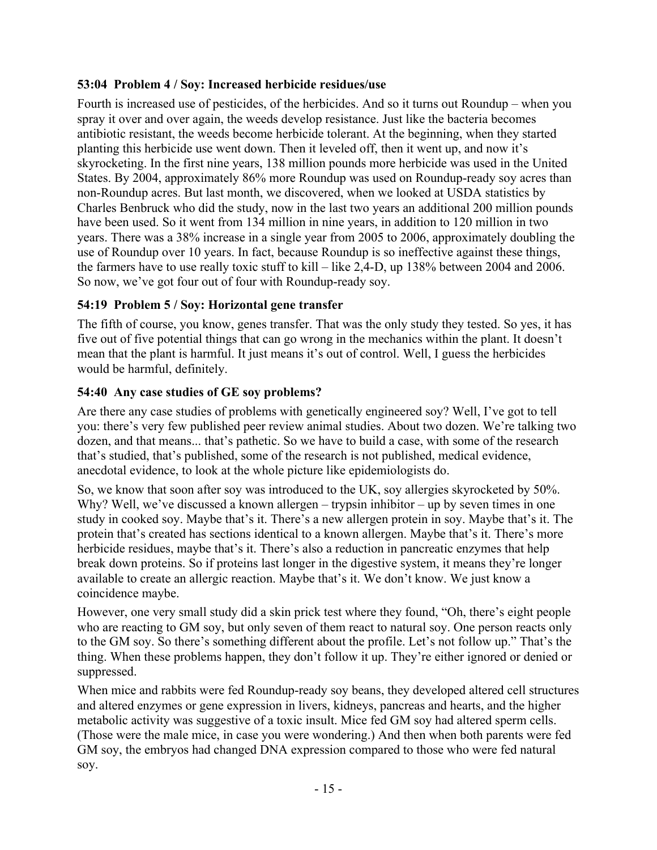## **53:04 Problem 4 / Soy: Increased herbicide residues/use**

Fourth is increased use of pesticides, of the herbicides. And so it turns out Roundup – when you spray it over and over again, the weeds develop resistance. Just like the bacteria becomes antibiotic resistant, the weeds become herbicide tolerant. At the beginning, when they started planting this herbicide use went down. Then it leveled off, then it went up, and now it's skyrocketing. In the first nine years, 138 million pounds more herbicide was used in the United States. By 2004, approximately 86% more Roundup was used on Roundup-ready soy acres than non-Roundup acres. But last month, we discovered, when we looked at USDA statistics by Charles Benbruck who did the study, now in the last two years an additional 200 million pounds have been used. So it went from 134 million in nine years, in addition to 120 million in two years. There was a 38% increase in a single year from 2005 to 2006, approximately doubling the use of Roundup over 10 years. In fact, because Roundup is so ineffective against these things, the farmers have to use really toxic stuff to kill – like 2,4-D, up 138% between 2004 and 2006. So now, we've got four out of four with Roundup-ready soy.

## **54:19 Problem 5 / Soy: Horizontal gene transfer**

The fifth of course, you know, genes transfer. That was the only study they tested. So yes, it has five out of five potential things that can go wrong in the mechanics within the plant. It doesn't mean that the plant is harmful. It just means it's out of control. Well, I guess the herbicides would be harmful, definitely.

## **54:40 Any case studies of GE soy problems?**

Are there any case studies of problems with genetically engineered soy? Well, I've got to tell you: there's very few published peer review animal studies. About two dozen. We're talking two dozen, and that means... that's pathetic. So we have to build a case, with some of the research that's studied, that's published, some of the research is not published, medical evidence, anecdotal evidence, to look at the whole picture like epidemiologists do.

So, we know that soon after soy was introduced to the UK, soy allergies skyrocketed by 50%. Why? Well, we've discussed a known allergen – trypsin inhibitor – up by seven times in one study in cooked soy. Maybe that's it. There's a new allergen protein in soy. Maybe that's it. The protein that's created has sections identical to a known allergen. Maybe that's it. There's more herbicide residues, maybe that's it. There's also a reduction in pancreatic enzymes that help break down proteins. So if proteins last longer in the digestive system, it means they're longer available to create an allergic reaction. Maybe that's it. We don't know. We just know a coincidence maybe.

However, one very small study did a skin prick test where they found, "Oh, there's eight people who are reacting to GM soy, but only seven of them react to natural soy. One person reacts only to the GM soy. So there's something different about the profile. Let's not follow up." That's the thing. When these problems happen, they don't follow it up. They're either ignored or denied or suppressed.

When mice and rabbits were fed Roundup-ready soy beans, they developed altered cell structures and altered enzymes or gene expression in livers, kidneys, pancreas and hearts, and the higher metabolic activity was suggestive of a toxic insult. Mice fed GM soy had altered sperm cells. (Those were the male mice, in case you were wondering.) And then when both parents were fed GM soy, the embryos had changed DNA expression compared to those who were fed natural soy.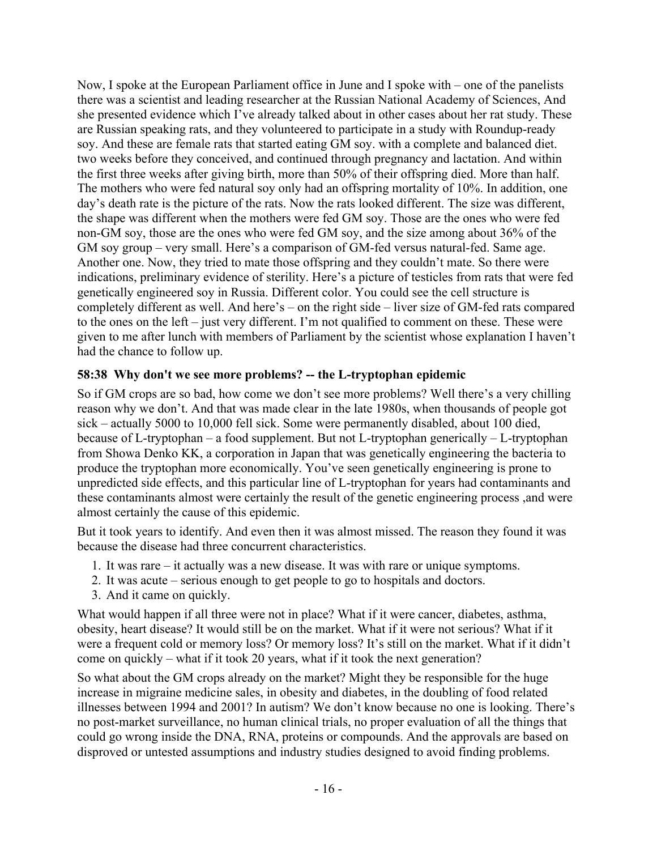Now, I spoke at the European Parliament office in June and I spoke with – one of the panelists there was a scientist and leading researcher at the Russian National Academy of Sciences, And she presented evidence which I've already talked about in other cases about her rat study. These are Russian speaking rats, and they volunteered to participate in a study with Roundup-ready soy. And these are female rats that started eating GM soy. with a complete and balanced diet. two weeks before they conceived, and continued through pregnancy and lactation. And within the first three weeks after giving birth, more than 50% of their offspring died. More than half. The mothers who were fed natural soy only had an offspring mortality of 10%. In addition, one day's death rate is the picture of the rats. Now the rats looked different. The size was different, the shape was different when the mothers were fed GM soy. Those are the ones who were fed non-GM soy, those are the ones who were fed GM soy, and the size among about 36% of the GM soy group – very small. Here's a comparison of GM-fed versus natural-fed. Same age. Another one. Now, they tried to mate those offspring and they couldn't mate. So there were indications, preliminary evidence of sterility. Here's a picture of testicles from rats that were fed genetically engineered soy in Russia. Different color. You could see the cell structure is completely different as well. And here's – on the right side – liver size of GM-fed rats compared to the ones on the left – just very different. I'm not qualified to comment on these. These were given to me after lunch with members of Parliament by the scientist whose explanation I haven't had the chance to follow up.

### **58:38 Why don't we see more problems? -- the L-tryptophan epidemic**

So if GM crops are so bad, how come we don't see more problems? Well there's a very chilling reason why we don't. And that was made clear in the late 1980s, when thousands of people got sick – actually 5000 to 10,000 fell sick. Some were permanently disabled, about 100 died, because of L-tryptophan – a food supplement. But not L-tryptophan generically – L-tryptophan from Showa Denko KK, a corporation in Japan that was genetically engineering the bacteria to produce the tryptophan more economically. You've seen genetically engineering is prone to unpredicted side effects, and this particular line of L-tryptophan for years had contaminants and these contaminants almost were certainly the result of the genetic engineering process ,and were almost certainly the cause of this epidemic.

But it took years to identify. And even then it was almost missed. The reason they found it was because the disease had three concurrent characteristics.

- 1. It was rare it actually was a new disease. It was with rare or unique symptoms.
- 2. It was acute serious enough to get people to go to hospitals and doctors.
- 3. And it came on quickly.

What would happen if all three were not in place? What if it were cancer, diabetes, asthma, obesity, heart disease? It would still be on the market. What if it were not serious? What if it were a frequent cold or memory loss? Or memory loss? It's still on the market. What if it didn't come on quickly – what if it took 20 years, what if it took the next generation?

So what about the GM crops already on the market? Might they be responsible for the huge increase in migraine medicine sales, in obesity and diabetes, in the doubling of food related illnesses between 1994 and 2001? In autism? We don't know because no one is looking. There's no post-market surveillance, no human clinical trials, no proper evaluation of all the things that could go wrong inside the DNA, RNA, proteins or compounds. And the approvals are based on disproved or untested assumptions and industry studies designed to avoid finding problems.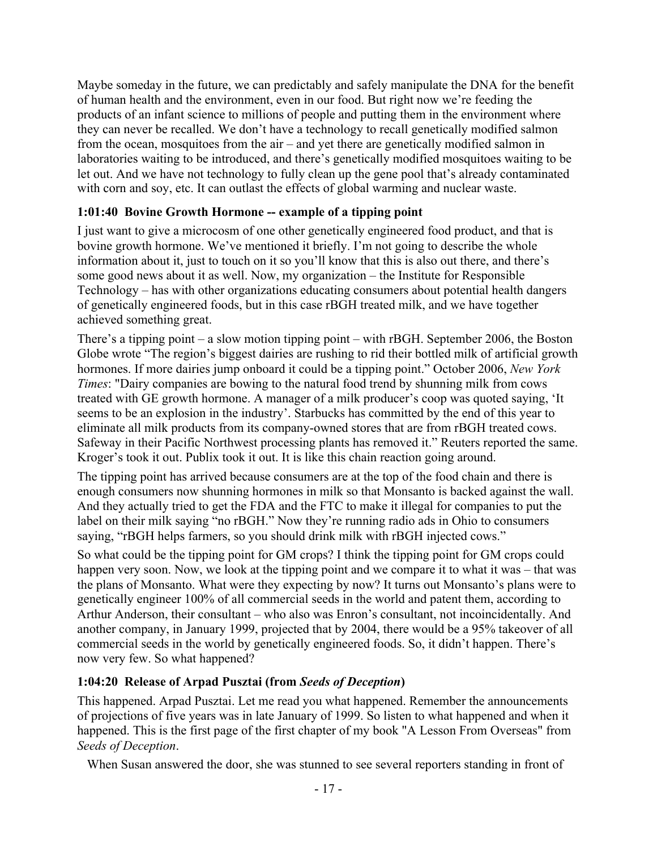Maybe someday in the future, we can predictably and safely manipulate the DNA for the benefit of human health and the environment, even in our food. But right now we're feeding the products of an infant science to millions of people and putting them in the environment where they can never be recalled. We don't have a technology to recall genetically modified salmon from the ocean, mosquitoes from the air – and yet there are genetically modified salmon in laboratories waiting to be introduced, and there's genetically modified mosquitoes waiting to be let out. And we have not technology to fully clean up the gene pool that's already contaminated with corn and soy, etc. It can outlast the effects of global warming and nuclear waste.

### **1:01:40 Bovine Growth Hormone -- example of a tipping point**

I just want to give a microcosm of one other genetically engineered food product, and that is bovine growth hormone. We've mentioned it briefly. I'm not going to describe the whole information about it, just to touch on it so you'll know that this is also out there, and there's some good news about it as well. Now, my organization – the Institute for Responsible Technology – has with other organizations educating consumers about potential health dangers of genetically engineered foods, but in this case rBGH treated milk, and we have together achieved something great.

There's a tipping point – a slow motion tipping point – with rBGH. September 2006, the Boston Globe wrote "The region's biggest dairies are rushing to rid their bottled milk of artificial growth hormones. If more dairies jump onboard it could be a tipping point." October 2006, *New York Times*: "Dairy companies are bowing to the natural food trend by shunning milk from cows treated with GE growth hormone. A manager of a milk producer's coop was quoted saying, 'It seems to be an explosion in the industry'. Starbucks has committed by the end of this year to eliminate all milk products from its company-owned stores that are from rBGH treated cows. Safeway in their Pacific Northwest processing plants has removed it." Reuters reported the same. Kroger's took it out. Publix took it out. It is like this chain reaction going around.

The tipping point has arrived because consumers are at the top of the food chain and there is enough consumers now shunning hormones in milk so that Monsanto is backed against the wall. And they actually tried to get the FDA and the FTC to make it illegal for companies to put the label on their milk saying "no rBGH." Now they're running radio ads in Ohio to consumers saying, "rBGH helps farmers, so you should drink milk with rBGH injected cows."

So what could be the tipping point for GM crops? I think the tipping point for GM crops could happen very soon. Now, we look at the tipping point and we compare it to what it was – that was the plans of Monsanto. What were they expecting by now? It turns out Monsanto's plans were to genetically engineer 100% of all commercial seeds in the world and patent them, according to Arthur Anderson, their consultant – who also was Enron's consultant, not incoincidentally. And another company, in January 1999, projected that by 2004, there would be a 95% takeover of all commercial seeds in the world by genetically engineered foods. So, it didn't happen. There's now very few. So what happened?

## **1:04:20 Release of Arpad Pusztai (from** *Seeds of Deception***)**

This happened. Arpad Pusztai. Let me read you what happened. Remember the announcements of projections of five years was in late January of 1999. So listen to what happened and when it happened. This is the first page of the first chapter of my book "A Lesson From Overseas" from *Seeds of Deception*.

When Susan answered the door, she was stunned to see several reporters standing in front of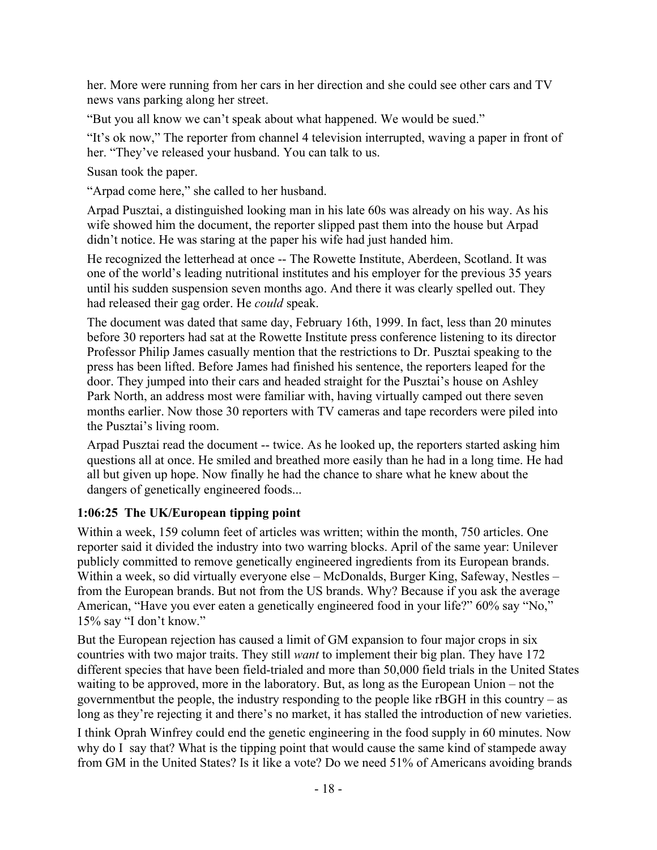her. More were running from her cars in her direction and she could see other cars and TV news vans parking along her street.

"But you all know we can't speak about what happened. We would be sued."

"It's ok now," The reporter from channel 4 television interrupted, waving a paper in front of her. "They've released your husband. You can talk to us.

Susan took the paper.

"Arpad come here," she called to her husband.

Arpad Pusztai, a distinguished looking man in his late 60s was already on his way. As his wife showed him the document, the reporter slipped past them into the house but Arpad didn't notice. He was staring at the paper his wife had just handed him.

He recognized the letterhead at once -- The Rowette Institute, Aberdeen, Scotland. It was one of the world's leading nutritional institutes and his employer for the previous 35 years until his sudden suspension seven months ago. And there it was clearly spelled out. They had released their gag order. He *could* speak.

The document was dated that same day, February 16th, 1999. In fact, less than 20 minutes before 30 reporters had sat at the Rowette Institute press conference listening to its director Professor Philip James casually mention that the restrictions to Dr. Pusztai speaking to the press has been lifted. Before James had finished his sentence, the reporters leaped for the door. They jumped into their cars and headed straight for the Pusztai's house on Ashley Park North, an address most were familiar with, having virtually camped out there seven months earlier. Now those 30 reporters with TV cameras and tape recorders were piled into the Pusztai's living room.

Arpad Pusztai read the document -- twice. As he looked up, the reporters started asking him questions all at once. He smiled and breathed more easily than he had in a long time. He had all but given up hope. Now finally he had the chance to share what he knew about the dangers of genetically engineered foods...

## **1:06:25 The UK/European tipping point**

Within a week, 159 column feet of articles was written; within the month, 750 articles. One reporter said it divided the industry into two warring blocks. April of the same year: Unilever publicly committed to remove genetically engineered ingredients from its European brands. Within a week, so did virtually everyone else – McDonalds, Burger King, Safeway, Nestles – from the European brands. But not from the US brands. Why? Because if you ask the average American, "Have you ever eaten a genetically engineered food in your life?" 60% say "No," 15% say "I don't know."

But the European rejection has caused a limit of GM expansion to four major crops in six countries with two major traits. They still *want* to implement their big plan. They have 172 different species that have been field-trialed and more than 50,000 field trials in the United States waiting to be approved, more in the laboratory. But, as long as the European Union – not the governmentbut the people, the industry responding to the people like rBGH in this country – as long as they're rejecting it and there's no market, it has stalled the introduction of new varieties.

I think Oprah Winfrey could end the genetic engineering in the food supply in 60 minutes. Now why do I say that? What is the tipping point that would cause the same kind of stampede away from GM in the United States? Is it like a vote? Do we need 51% of Americans avoiding brands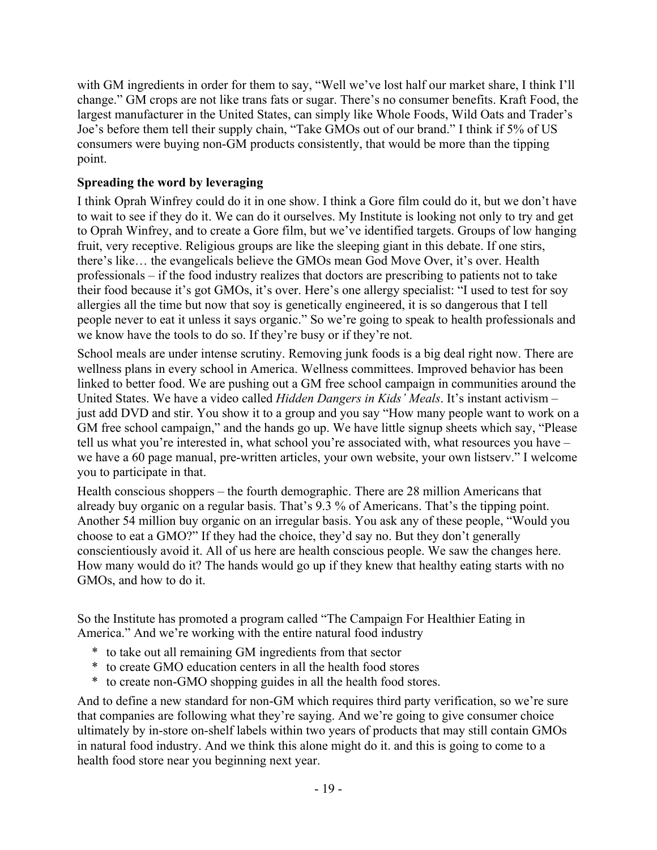with GM ingredients in order for them to say, "Well we've lost half our market share, I think I'll change." GM crops are not like trans fats or sugar. There's no consumer benefits. Kraft Food, the largest manufacturer in the United States, can simply like Whole Foods, Wild Oats and Trader's Joe's before them tell their supply chain, "Take GMOs out of our brand." I think if 5% of US consumers were buying non-GM products consistently, that would be more than the tipping point.

## **Spreading the word by leveraging**

I think Oprah Winfrey could do it in one show. I think a Gore film could do it, but we don't have to wait to see if they do it. We can do it ourselves. My Institute is looking not only to try and get to Oprah Winfrey, and to create a Gore film, but we've identified targets. Groups of low hanging fruit, very receptive. Religious groups are like the sleeping giant in this debate. If one stirs, there's like… the evangelicals believe the GMOs mean God Move Over, it's over. Health professionals – if the food industry realizes that doctors are prescribing to patients not to take their food because it's got GMOs, it's over. Here's one allergy specialist: "I used to test for soy allergies all the time but now that soy is genetically engineered, it is so dangerous that I tell people never to eat it unless it says organic." So we're going to speak to health professionals and we know have the tools to do so. If they're busy or if they're not.

School meals are under intense scrutiny. Removing junk foods is a big deal right now. There are wellness plans in every school in America. Wellness committees. Improved behavior has been linked to better food. We are pushing out a GM free school campaign in communities around the United States. We have a video called *Hidden Dangers in Kids' Meals*. It's instant activism – just add DVD and stir. You show it to a group and you say "How many people want to work on a GM free school campaign," and the hands go up. We have little signup sheets which say, "Please tell us what you're interested in, what school you're associated with, what resources you have – we have a 60 page manual, pre-written articles, your own website, your own listserv." I welcome you to participate in that.

Health conscious shoppers – the fourth demographic. There are 28 million Americans that already buy organic on a regular basis. That's 9.3 % of Americans. That's the tipping point. Another 54 million buy organic on an irregular basis. You ask any of these people, "Would you choose to eat a GMO?" If they had the choice, they'd say no. But they don't generally conscientiously avoid it. All of us here are health conscious people. We saw the changes here. How many would do it? The hands would go up if they knew that healthy eating starts with no GMOs, and how to do it.

So the Institute has promoted a program called "The Campaign For Healthier Eating in America." And we're working with the entire natural food industry

- \* to take out all remaining GM ingredients from that sector
- \* to create GMO education centers in all the health food stores
- \* to create non-GMO shopping guides in all the health food stores.

And to define a new standard for non-GM which requires third party verification, so we're sure that companies are following what they're saying. And we're going to give consumer choice ultimately by in-store on-shelf labels within two years of products that may still contain GMOs in natural food industry. And we think this alone might do it. and this is going to come to a health food store near you beginning next year.